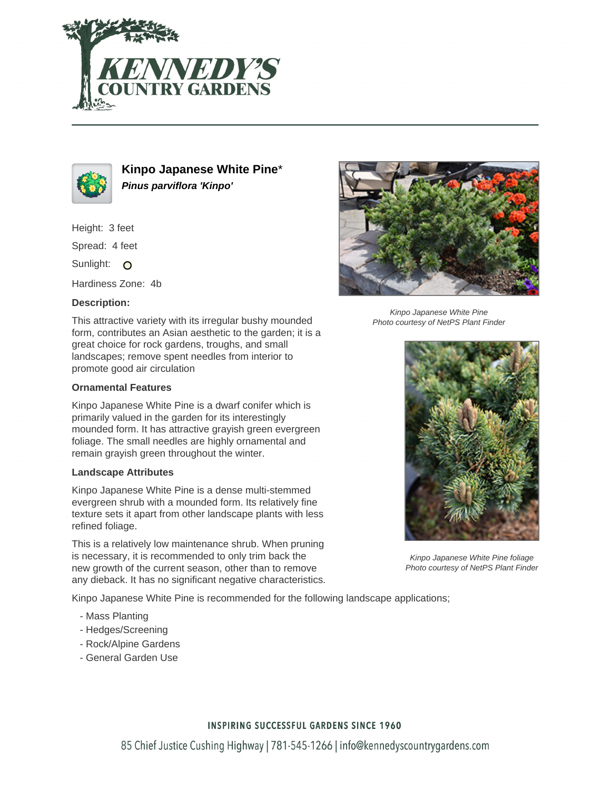



**Kinpo Japanese White Pine**\* **Pinus parviflora 'Kinpo'**

Height: 3 feet

Spread: 4 feet

Sunlight: O

Hardiness Zone: 4b

### **Description:**

This attractive variety with its irregular bushy mounded form, contributes an Asian aesthetic to the garden; it is a great choice for rock gardens, troughs, and small landscapes; remove spent needles from interior to promote good air circulation

#### **Ornamental Features**

Kinpo Japanese White Pine is a dwarf conifer which is primarily valued in the garden for its interestingly mounded form. It has attractive grayish green evergreen foliage. The small needles are highly ornamental and remain grayish green throughout the winter.

### **Landscape Attributes**

Kinpo Japanese White Pine is a dense multi-stemmed evergreen shrub with a mounded form. Its relatively fine texture sets it apart from other landscape plants with less refined foliage.

This is a relatively low maintenance shrub. When pruning is necessary, it is recommended to only trim back the new growth of the current season, other than to remove any dieback. It has no significant negative characteristics.

Kinpo Japanese White Pine is recommended for the following landscape applications;

- Mass Planting
- Hedges/Screening
- Rock/Alpine Gardens
- General Garden Use



Kinpo Japanese White Pine Photo courtesy of NetPS Plant Finder



Kinpo Japanese White Pine foliage Photo courtesy of NetPS Plant Finder

## **INSPIRING SUCCESSFUL GARDENS SINCE 1960**